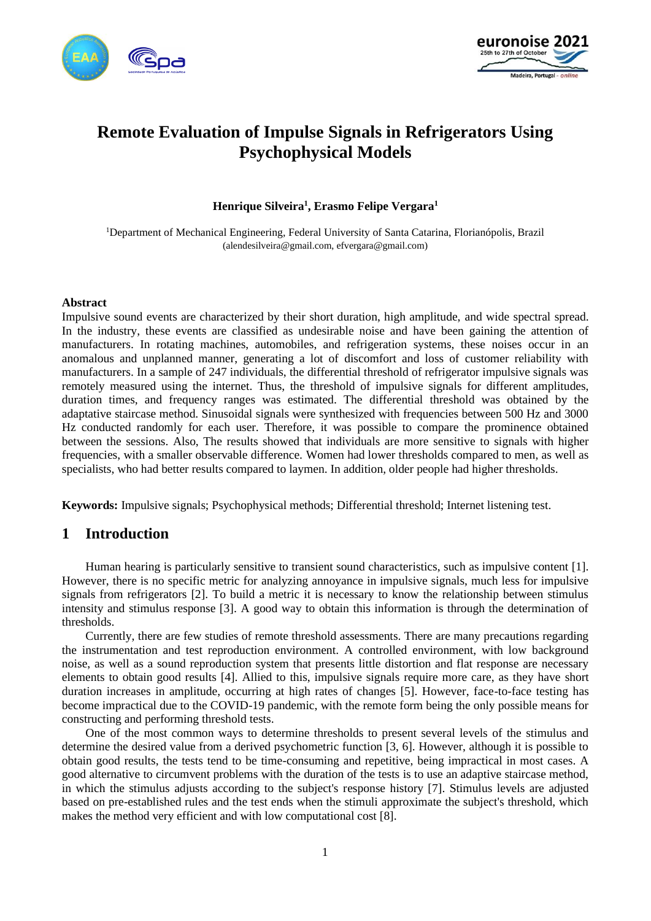



# **Remote Evaluation of Impulse Signals in Refrigerators Using Psychophysical Models**

### **Henrique Silveira<sup>1</sup> , Erasmo Felipe Vergara<sup>1</sup>**

<sup>1</sup>Department of Mechanical Engineering, Federal University of Santa Catarina, Florianópolis, Brazil [\(a](mailto:%7balendesilveira@gmail.com)lendesilveira@gmail.com, efvergara@gmail.com)

#### **Abstract**

Impulsive sound events are characterized by their short duration, high amplitude, and wide spectral spread. In the industry, these events are classified as undesirable noise and have been gaining the attention of manufacturers. In rotating machines, automobiles, and refrigeration systems, these noises occur in an anomalous and unplanned manner, generating a lot of discomfort and loss of customer reliability with manufacturers. In a sample of 247 individuals, the differential threshold of refrigerator impulsive signals was remotely measured using the internet. Thus, the threshold of impulsive signals for different amplitudes, duration times, and frequency ranges was estimated. The differential threshold was obtained by the adaptative staircase method. Sinusoidal signals were synthesized with frequencies between 500 Hz and 3000 Hz conducted randomly for each user. Therefore, it was possible to compare the prominence obtained between the sessions. Also, The results showed that individuals are more sensitive to signals with higher frequencies, with a smaller observable difference. Women had lower thresholds compared to men, as well as specialists, who had better results compared to laymen. In addition, older people had higher thresholds.

**Keywords:** Impulsive signals; Psychophysical methods; Differential threshold; Internet listening test.

## **1 Introduction**

Human hearing is particularly sensitive to transient sound characteristics, such as impulsive content [1]. However, there is no specific metric for analyzing annoyance in impulsive signals, much less for impulsive signals from refrigerators [2]. To build a metric it is necessary to know the relationship between stimulus intensity and stimulus response [3]. A good way to obtain this information is through the determination of thresholds.

Currently, there are few studies of remote threshold assessments. There are many precautions regarding the instrumentation and test reproduction environment. A controlled environment, with low background noise, as well as a sound reproduction system that presents little distortion and flat response are necessary elements to obtain good results [4]. Allied to this, impulsive signals require more care, as they have short duration increases in amplitude, occurring at high rates of changes [5]. However, face-to-face testing has become impractical due to the COVID-19 pandemic, with the remote form being the only possible means for constructing and performing threshold tests.

One of the most common ways to determine thresholds to present several levels of the stimulus and determine the desired value from a derived psychometric function [3, 6]. However, although it is possible to obtain good results, the tests tend to be time-consuming and repetitive, being impractical in most cases. A good alternative to circumvent problems with the duration of the tests is to use an adaptive staircase method, in which the stimulus adjusts according to the subject's response history [7]. Stimulus levels are adjusted based on pre-established rules and the test ends when the stimuli approximate the subject's threshold, which makes the method very efficient and with low computational cost [8].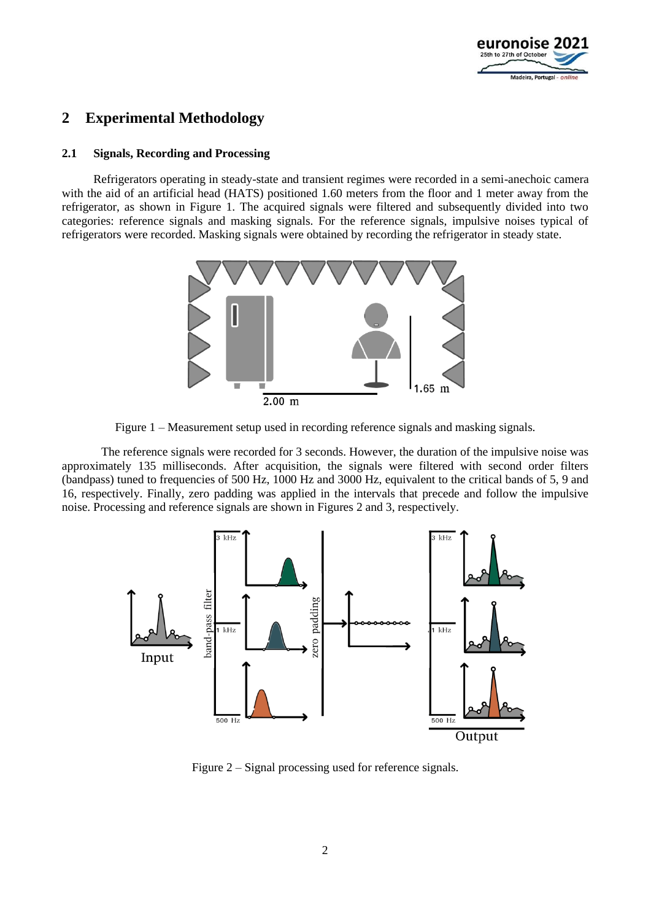

## **2 Experimental Methodology**

#### **2.1 Signals, Recording and Processing**

Refrigerators operating in steady-state and transient regimes were recorded in a semi-anechoic camera with the aid of an artificial head (HATS) positioned 1.60 meters from the floor and 1 meter away from the refrigerator, as shown in Figure 1. The acquired signals were filtered and subsequently divided into two categories: reference signals and masking signals. For the reference signals, impulsive noises typical of refrigerators were recorded. Masking signals were obtained by recording the refrigerator in steady state.



Figure 1 – Measurement setup used in recording reference signals and masking signals.

The reference signals were recorded for 3 seconds. However, the duration of the impulsive noise was approximately 135 milliseconds. After acquisition, the signals were filtered with second order filters (bandpass) tuned to frequencies of 500 Hz, 1000 Hz and 3000 Hz, equivalent to the critical bands of 5, 9 and 16, respectively. Finally, zero padding was applied in the intervals that precede and follow the impulsive noise. Processing and reference signals are shown in Figures 2 and 3, respectively.



Figure 2 – Signal processing used for reference signals.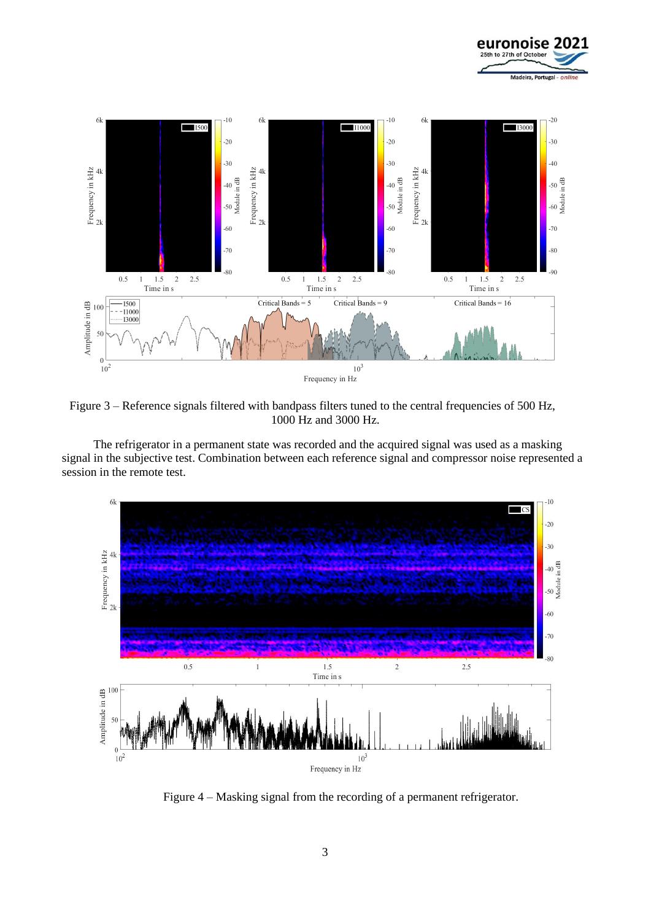



Figure 3 – Reference signals filtered with bandpass filters tuned to the central frequencies of 500 Hz, 1000 Hz and 3000 Hz.

The refrigerator in a permanent state was recorded and the acquired signal was used as a masking signal in the subjective test. Combination between each reference signal and compressor noise represented a session in the remote test.



Figure 4 – Masking signal from the recording of a permanent refrigerator.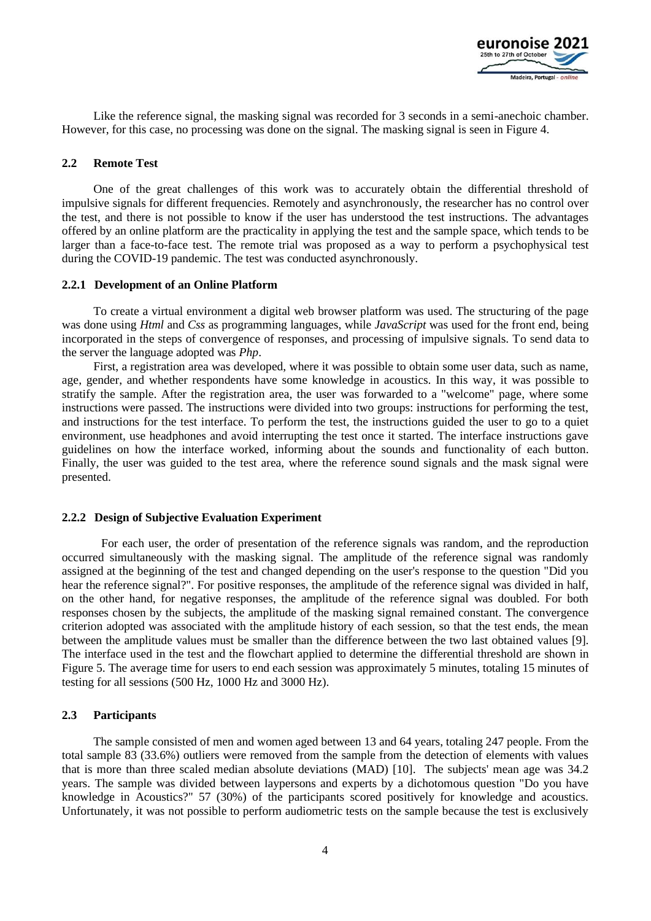

Like the reference signal, the masking signal was recorded for 3 seconds in a semi-anechoic chamber. However, for this case, no processing was done on the signal. The masking signal is seen in Figure 4.

#### **2.2 Remote Test**

One of the great challenges of this work was to accurately obtain the differential threshold of impulsive signals for different frequencies. Remotely and asynchronously, the researcher has no control over the test, and there is not possible to know if the user has understood the test instructions. The advantages offered by an online platform are the practicality in applying the test and the sample space, which tends to be larger than a face-to-face test. The remote trial was proposed as a way to perform a psychophysical test during the COVID-19 pandemic. The test was conducted asynchronously.

#### **2.2.1 Development of an Online Platform**

To create a virtual environment a digital web browser platform was used. The structuring of the page was done using *Html* and *Css* as programming languages, while *JavaScript* was used for the front end, being incorporated in the steps of convergence of responses, and processing of impulsive signals. To send data to the server the language adopted was *Php*.

First, a registration area was developed, where it was possible to obtain some user data, such as name, age, gender, and whether respondents have some knowledge in acoustics. In this way, it was possible to stratify the sample. After the registration area, the user was forwarded to a "welcome" page, where some instructions were passed. The instructions were divided into two groups: instructions for performing the test, and instructions for the test interface. To perform the test, the instructions guided the user to go to a quiet environment, use headphones and avoid interrupting the test once it started. The interface instructions gave guidelines on how the interface worked, informing about the sounds and functionality of each button. Finally, the user was guided to the test area, where the reference sound signals and the mask signal were presented.

#### **2.2.2 Design of Subjective Evaluation Experiment**

For each user, the order of presentation of the reference signals was random, and the reproduction occurred simultaneously with the masking signal. The amplitude of the reference signal was randomly assigned at the beginning of the test and changed depending on the user's response to the question "Did you hear the reference signal?". For positive responses, the amplitude of the reference signal was divided in half, on the other hand, for negative responses, the amplitude of the reference signal was doubled. For both responses chosen by the subjects, the amplitude of the masking signal remained constant. The convergence criterion adopted was associated with the amplitude history of each session, so that the test ends, the mean between the amplitude values must be smaller than the difference between the two last obtained values [9]. The interface used in the test and the flowchart applied to determine the differential threshold are shown in Figure 5. The average time for users to end each session was approximately 5 minutes, totaling 15 minutes of testing for all sessions (500 Hz, 1000 Hz and 3000 Hz).

#### **2.3 Participants**

The sample consisted of men and women aged between 13 and 64 years, totaling 247 people. From the total sample 83 (33.6%) outliers were removed from the sample from the detection of elements with values that is more than three scaled median absolute deviations (MAD) [10]. The subjects' mean age was 34.2 years. The sample was divided between laypersons and experts by a dichotomous question "Do you have knowledge in Acoustics?" 57 (30%) of the participants scored positively for knowledge and acoustics. Unfortunately, it was not possible to perform audiometric tests on the sample because the test is exclusively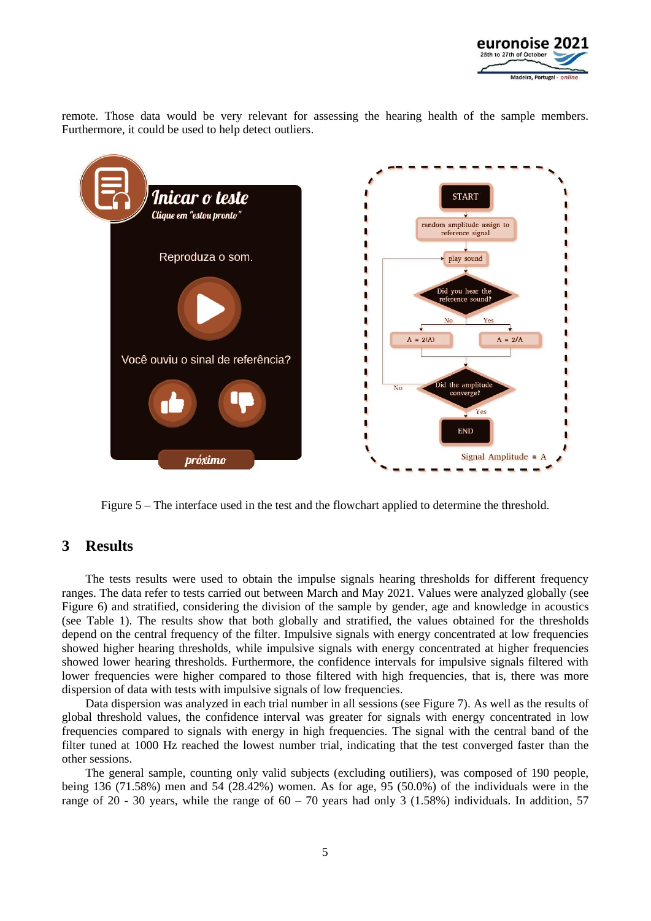

remote. Those data would be very relevant for assessing the hearing health of the sample members. Furthermore, it could be used to help detect outliers.



Figure 5 – The interface used in the test and the flowchart applied to determine the threshold.

## **3 Results**

The tests results were used to obtain the impulse signals hearing thresholds for different frequency ranges. The data refer to tests carried out between March and May 2021. Values were analyzed globally (see Figure 6) and stratified, considering the division of the sample by gender, age and knowledge in acoustics (see Table 1). The results show that both globally and stratified, the values obtained for the thresholds depend on the central frequency of the filter. Impulsive signals with energy concentrated at low frequencies showed higher hearing thresholds, while impulsive signals with energy concentrated at higher frequencies showed lower hearing thresholds. Furthermore, the confidence intervals for impulsive signals filtered with lower frequencies were higher compared to those filtered with high frequencies, that is, there was more dispersion of data with tests with impulsive signals of low frequencies.

Data dispersion was analyzed in each trial number in all sessions (see Figure 7). As well as the results of global threshold values, the confidence interval was greater for signals with energy concentrated in low frequencies compared to signals with energy in high frequencies. The signal with the central band of the filter tuned at 1000 Hz reached the lowest number trial, indicating that the test converged faster than the other sessions.

The general sample, counting only valid subjects (excluding outiliers), was composed of 190 people, being 136 (71.58%) men and 54 (28.42%) women. As for age, 95 (50.0%) of the individuals were in the range of 20 - 30 years, while the range of  $60 - 70$  years had only 3 (1.58%) individuals. In addition, 57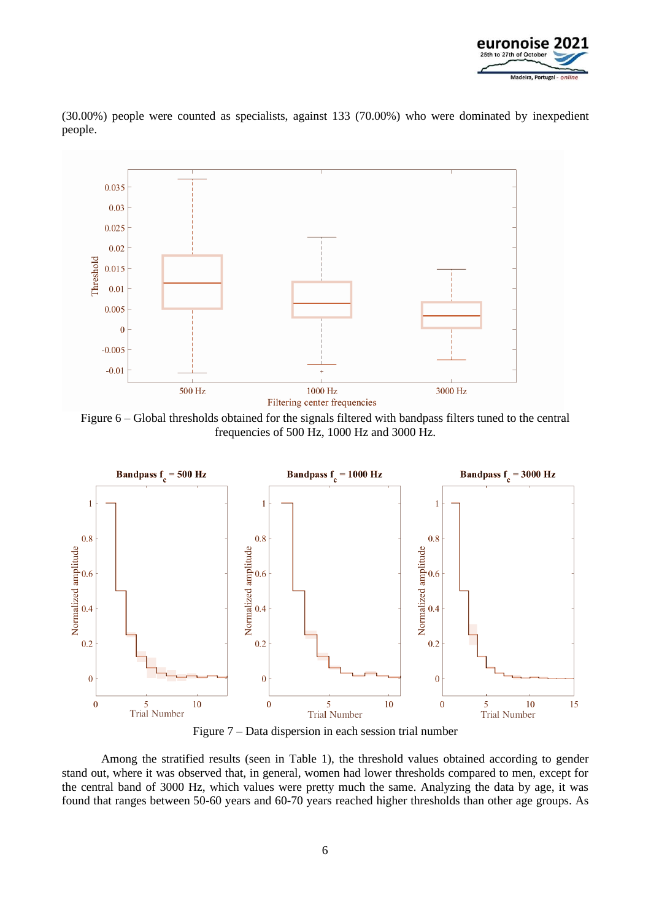

(30.00%) people were counted as specialists, against 133 (70.00%) who were dominated by inexpedient people.



Figure 6 – Global thresholds obtained for the signals filtered with bandpass filters tuned to the central frequencies of 500 Hz, 1000 Hz and 3000 Hz.



Figure 7 – Data dispersion in each session trial number

Among the stratified results (seen in Table 1), the threshold values obtained according to gender stand out, where it was observed that, in general, women had lower thresholds compared to men, except for the central band of 3000 Hz, which values were pretty much the same. Analyzing the data by age, it was found that ranges between 50-60 years and 60-70 years reached higher thresholds than other age groups. As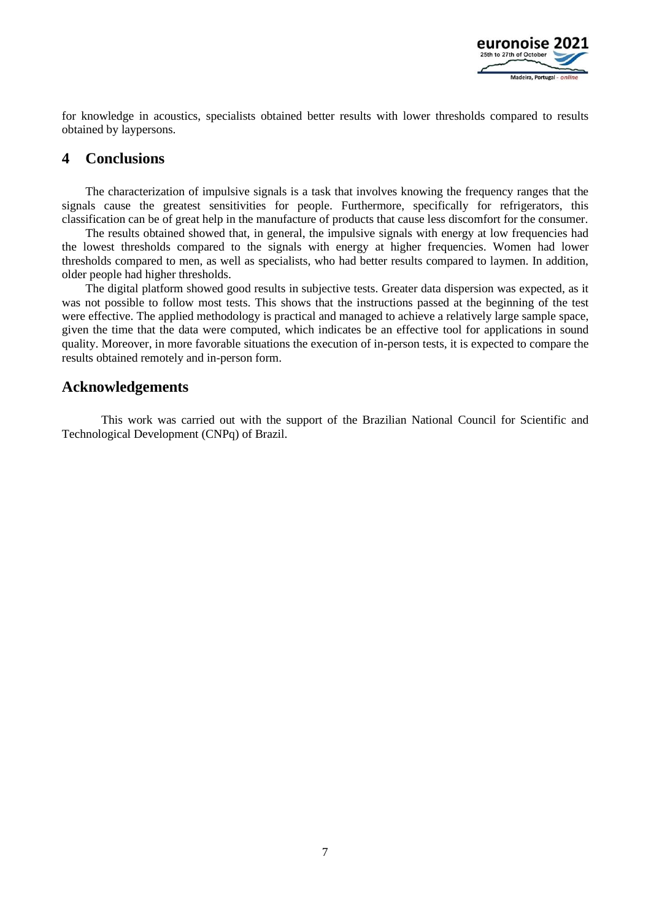

for knowledge in acoustics, specialists obtained better results with lower thresholds compared to results obtained by laypersons.

## **4 Conclusions**

The characterization of impulsive signals is a task that involves knowing the frequency ranges that the signals cause the greatest sensitivities for people. Furthermore, specifically for refrigerators, this classification can be of great help in the manufacture of products that cause less discomfort for the consumer.

The results obtained showed that, in general, the impulsive signals with energy at low frequencies had the lowest thresholds compared to the signals with energy at higher frequencies. Women had lower thresholds compared to men, as well as specialists, who had better results compared to laymen. In addition, older people had higher thresholds.

The digital platform showed good results in subjective tests. Greater data dispersion was expected, as it was not possible to follow most tests. This shows that the instructions passed at the beginning of the test were effective. The applied methodology is practical and managed to achieve a relatively large sample space, given the time that the data were computed, which indicates be an effective tool for applications in sound quality. Moreover, in more favorable situations the execution of in-person tests, it is expected to compare the results obtained remotely and in-person form.

### **Acknowledgements**

This work was carried out with the support of the Brazilian National Council for Scientific and Technological Development (CNPq) of Brazil.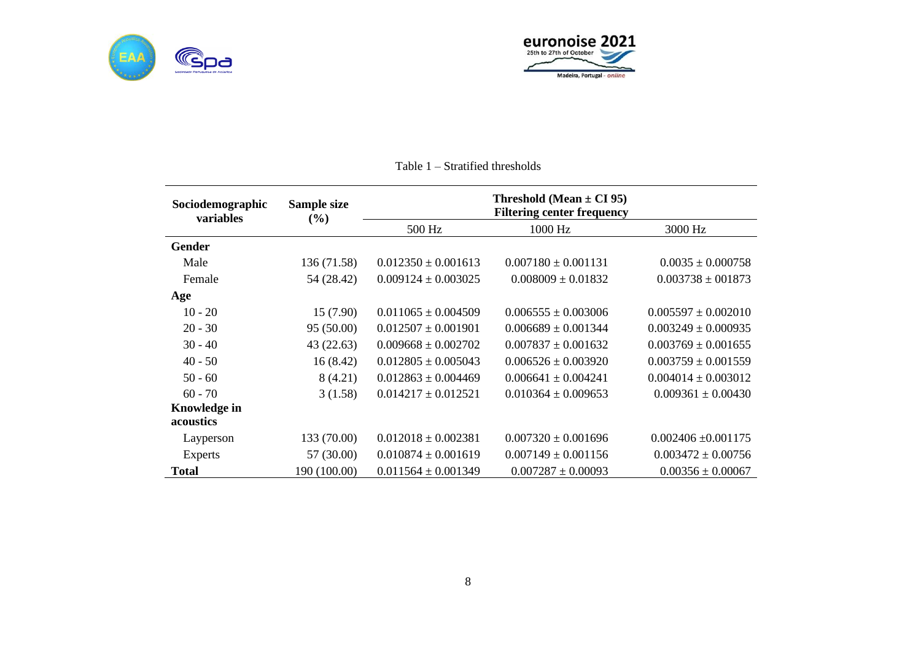



| Sociodemographic<br>variables | Sample size<br>$(\%)$ | Threshold (Mean $\pm$ CI 95)<br><b>Filtering center frequency</b> |                         |                         |
|-------------------------------|-----------------------|-------------------------------------------------------------------|-------------------------|-------------------------|
|                               |                       | 500 Hz                                                            | 1000 Hz                 | 3000 Hz                 |
| <b>Gender</b>                 |                       |                                                                   |                         |                         |
| Male                          | 136 (71.58)           | $0.012350 \pm 0.001613$                                           | $0.007180 \pm 0.001131$ | $0.0035 \pm 0.000758$   |
| Female                        | 54 (28.42)            | $0.009124 \pm 0.003025$                                           | $0.008009 \pm 0.01832$  | $0.003738 \pm 001873$   |
| Age                           |                       |                                                                   |                         |                         |
| $10 - 20$                     | 15(7.90)              | $0.011065 \pm 0.004509$                                           | $0.006555 \pm 0.003006$ | $0.005597 \pm 0.002010$ |
| $20 - 30$                     | 95 (50.00)            | $0.012507 \pm 0.001901$                                           | $0.006689 \pm 0.001344$ | $0.003249 \pm 0.000935$ |
| $30 - 40$                     | 43(22.63)             | $0.009668 \pm 0.002702$                                           | $0.007837 \pm 0.001632$ | $0.003769 \pm 0.001655$ |
| $40 - 50$                     | 16(8.42)              | $0.012805 \pm 0.005043$                                           | $0.006526 \pm 0.003920$ | $0.003759 \pm 0.001559$ |
| $50 - 60$                     | 8 (4.21)              | $0.012863 \pm 0.004469$                                           | $0.006641 \pm 0.004241$ | $0.004014 \pm 0.003012$ |
| $60 - 70$                     | 3(1.58)               | $0.014217 \pm 0.012521$                                           | $0.010364 \pm 0.009653$ | $0.009361 \pm 0.00430$  |
| Knowledge in                  |                       |                                                                   |                         |                         |
| <b>acoustics</b>              |                       |                                                                   |                         |                         |
| Layperson                     | 133 (70.00)           | $0.012018 \pm 0.002381$                                           | $0.007320 \pm 0.001696$ | $0.002406 \pm 0.001175$ |
| <b>Experts</b>                | 57 (30.00)            | $0.010874 \pm 0.001619$                                           | $0.007149 \pm 0.001156$ | $0.003472 \pm 0.00756$  |
| <b>Total</b>                  | 190 (100.00)          | $0.011564 \pm 0.001349$                                           | $0.007287 \pm 0.00093$  | $0.00356 \pm 0.00067$   |

## Table 1 – Stratified thresholds